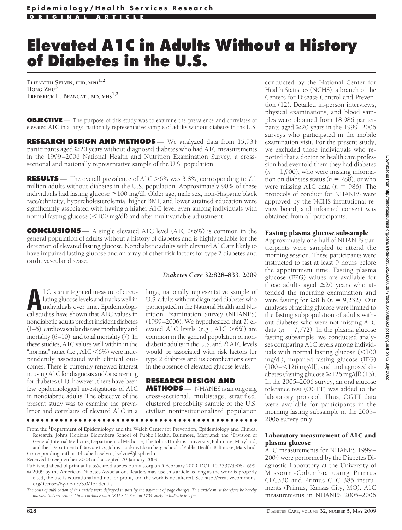# **Elevated A1C in Adults Without a History of Diabetes in the U.S.**

**ELIZABETH SELVIN, PHD, MPH1,2 HONG ZHU<sup>3</sup> FREDERICK L. BRANCATI, MD, MHS1,2**

**OBJECTIVE** - The purpose of this study was to examine the prevalence and correlates of elevated A1C in a large, nationally representative sample of adults without diabetes in the U.S.

**RESEARCH DESIGN AND METHODS** — We analyzed data from 15,934 participants aged  $\geq$ 20 years without diagnosed diabetes who had A1C measurements in the 1999–2006 National Health and Nutrition Examination Survey, a crosssectional and nationally representative sample of the U.S. population.

**RESULTS** — The overall prevalence of A1C  $>6\%$  was 3.8%, corresponding to 7.1 million adults without diabetes in the U.S. population. Approximately 90% of these individuals had fasting glucose  $\geq$ 100 mg/dl. Older age, male sex, non-Hispanic black race/ethnicity, hypercholesterolemia, higher BMI, and lower attained education were significantly associated with having a higher A1C level even among individuals with normal fasting glucose (<100 mg/dl) and after multivariable adjustment.

**CONCLUSIONS** — A single elevated A1C level (A1C  $>6\%$ ) is common in the general population of adults without a history of diabetes and is highly reliable for the detection of elevated fasting glucose. Nondiabetic adults with elevated A1C are likely to have impaired fasting glucose and an array of other risk factors for type 2 diabetes and cardiovascular disease.

**A**1C is an integrated measure of circulating glucose levels and tracks well in individuals over time. Epidemiological studies have shown that A1C values in nondiabetic adults predict incident diabetes (1–5), cardiovascular disease morbidity and mortality (6–10), and total mortality (7). In these studies, A1C values well within in the "normal" range (i.e., A1C <6%) were independently associated with clinical outcomes. There is currently renewed interest in using A1C for diagnosis and/or screening for diabetes (11); however, there have been few epidemiological investigations of A1C in nondiabetic adults. The objective of the present study was to examine the prevalence and correlates of elevated A1C in a

# *Diabetes Care* **32:828–833, 2009**

large, nationally representative sample of U.S. adults without diagnosed diabetes who participated in the National Health and Nutrition Examination Survey (NHANES) (1999–2006). We hypothesized that *1*) elevated A1C levels (e.g., A1C  $>6\%$ ) are common in the general population of nondiabetic adults in the U.S. and *2*) A1C levels would be associated with risk factors for type 2 diabetes and its complications even in the absence of elevated glucose levels.

# **RESEARCH DESIGN AND**

**METHODS** — NHANES is an ongoing cross-sectional, multistage, stratified, clustered probability sample of the U.S. civilian noninstitutionalized population

●●●●●●●●●●●●●●●●●●●●●●●●●●●●●●●●●●●●●●●●●●●●●●●●●

From the <sup>1</sup>Department of Epidemiology and the Welch Center for Prevention, Epidemiology and Clinical Research, Johns Hopkins Bloomberg School of Public Health, Baltimore, Maryland; the <sup>2</sup>Division of General Internal Medicine, Department of Medicine, The Johns Hopkins University, Baltimore, Maryland; and the <sup>3</sup> Department of Biostatistics, Johns Hopkins Bloomberg School of Public Health, Baltimore, Maryland. Corresponding author: Elizabeth Selvin, lselvin@jhsph.edu.

Received 16 September 2008 and accepted 20 January 2009.

Published ahead of print at http://care.diabetesjournals.org on 5 February 2009. DOI: 10.2337/dc08-1699. © 2009 by the American Diabetes Association. Readers may use this article as long as the work is properly cited, the use is educational and not for profit, and the work is not altered. See http://creativecommons. org/licenses/by-nc-nd/3.0/ for details.

*The costs of publication of this article were defrayed in part by the payment of page charges. This article must therefore be hereby marked "advertisement" in accordance with 18 U.S.C. Section 1734 solely to indicate this fact.*

conducted by the National Center for Health Statistics (NCHS), a branch of the Centers for Disease Control and Prevention (12). Detailed in-person interviews, physical examinations, and blood samples were obtained from 18,986 participants aged  $\geq$ 20 years in the 1999–2006 surveys who participated in the mobile examination visit. For the present study, we excluded those individuals who reported that a doctor or health care profession had ever told them they had diabetes  $(n = 1,900)$ , who were missing information on diabetes status ( $n = 288$ ), or who were missing A1C data  $(n = 986)$ . The protocols of conduct for NHANES were approved by the NCHS institutional review board, and informed consent was obtained from all participants.

# Fasting plasma glucose subsample

Approximately one-half of NHANES participants were sampled to attend the morning session. These participants were instructed to fast at least 9 hours before the appointment time. Fasting plasma glucose (FPG) values are available for those adults aged  $\geq$ 20 years who attended the morning examination and were fasting for  $\geq 8$  h ( $n = 9,232$ ). Our analyses of fasting glucose were limited to the fasting subpopulation of adults without diabetes who were not missing A1C data ( $n = 7,772$ ). In the plasma glucose fasting subsample, we conducted analyses comparing A1C levels among individuals with normal fasting glucose  $(<$ 100 mg/dl), impaired fasting glucose (IFG) (100-<126 mg/dl), and undiagnosed diabetes (fasting glucose  $\geq$  126 mg/dl) (13). In the 2005–2006 survey, an oral glucose tolerance test (OGTT) was added to the laboratory protocol. Thus, OGTT data were available for participants in the morning fasting subsample in the 2005– 2006 survey only.

# Laboratory measurement of A1C and plasma glucose

A1C measurements for NHANES 1999– 2004 were performed by the Diabetes Diagnostic Laboratory at the University of Missouri-Columbia using Primus CLC330 and Primus CLC 385 instruments (Primus, Kansas City, MO). A1C measurements in NHANES 2005–2006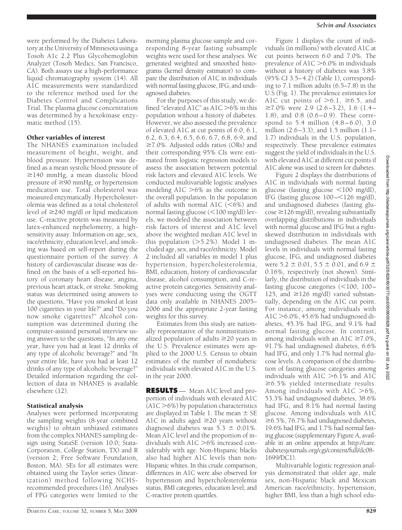were performed by the Diabetes Laboratory at the University of Minnesota using a Tosoh A1c 2.2 Plus Glycohemoglobin Analyzer (Tosoh Medics, San Francisco, CA). Both assays use a high-performance liquid chromatography system (14). All A1C measurements were standardized to the reference method used for the Diabetes Control and Complications Trial. The plasma glucose concentration was determined by a hexokinase enzymatic method (15).

#### Other variables of interest

The NHANES examination included measurement of height, weight, and blood pressure. Hypertension was defined as a mean systolic blood pressure of  $\geq$ 140 mmHg, a mean diastolic blood pressure of  $\geq 90$  mmHg, or hypertension medication use. Total cholesterol was measured enzymatically. Hypercholesterolemia was defined as a total cholesterol level of  $\geq$ 240 mg/dl or lipid medication use. C-reactive protein was measured by latex-enhanced nephelometry, a highsensitivity assay. Information on age, sex, race/ethnicity, education level, and smoking was based on self-report during the questionnaire portion of the survey. A history of cardiovascular disease was defined on the basis of a self-reported history of coronary heart disease, angina, previous heart attack, or stroke. Smoking status was determined using answers to the questions, "Have you smoked at least 100 cigarettes in your life?" and "Do you now smoke cigarettes?" Alcohol consumption was determined during the computer-assisted personal interview using answers to the questions, "In any one year, have you had at least 12 drinks of any type of alcoholic beverage?" and "In your entire life, have you had at least 12 drinks of any type of alcoholic beverage?" Detailed information regarding the collection of data in NHANES is available elsewhere (12).

#### Statistical analysis

Analyses were performed incorporating the sampling weights (8-year combined weights) to obtain unbiased estimates from the complex NHANES sampling design using StataSE (version 10.0; Stata-Corporation, College Station, TX) and R (version 2; Free Software Foundation, Boston, MA). SEs for all estimates were obtained using the Taylor series (linearization) method following NCHSrecommended procedures (16). Analyses of FPG categories were limited to the

morning plasma glucose sample and corresponding 8-year fasting subsample weights were used for these analyses. We generated weighted and smoothed histograms (kernel density estimator) to compare the distribution of A1C in individuals with normal fasting glucose, IFG, and undiagnosed diabetes.

For the purposes of this study, we defined "elevated A1C" as A1C  $>6\%$  in this population without a history of diabetes. However, we also assessed the prevalence of elevated A1C at cut points of 6.0, 6.1, 6.2, 6.3, 6.4, 6.5, 6.6, 6.7, 6.8, 6.9, and  $\geq$ 7.0%. Adjusted odds ratios (ORs) and their corresponding 95% CIs were estimated from logistic regression models to assess the association between potential risk factors and elevated A1C levels. We conducted multivariable logistic analyses modeling  $A1C > 6\%$  as the outcome in the overall population. In the population of adults with normal  $A1C$  (<6%) and normal fasting glucose (<100 mg/dl) levels, we modeled the association between risk factors of interest and A1C level above the weighted median A1C level in this population  $(>=5.2\%)$ . Model 1 included age, sex, and race/ethnicity. Model 2 included all variables in model 1 plus hypertension, hypercholesterolemia, BMI, education, history of cardiovascular disease, alcohol consumption, and C-reactive protein categories. Sensitivity analyses were conducting using the OGTT data only available in NHANES 2005– 2006 and the appropriate 2-year fasting weights for this survey.

Estimates from this study are nationally representative of the noninstitutionalized population of adults  $\geq$ 20 years in the U.S. Prevalence estimates were applied to the 2000 U.S. Census to obtain estimates of the number of nondiabetic individuals with elevated A1C in the U.S. in the year 2000.

**RESULTS** — Mean A1C level and proportion of individuals with elevated A1C  $(ALC > 6\%)$  by population characteristics are displayed in Table 1. The mean  $\pm$  SE A1C in adults aged  $\geq$ 20 years without diagnosed diabetes was  $5.3 \pm 0.01\%$ . Mean A1C level and the proportion of individuals with  $A1C > 6\%$  increased considerably with age. Non-Hispanic blacks also had higher A1C levels than non-Hispanic whites. In this crude comparison, differences in A1C were also observed for hypertension and hypercholesterolemia status, BMI categories, education level, and C-reactive protein quartiles.

viduals (in millions) with elevated A1C at cut points between 6.0 and 7.0%. The prevalence of  $A1C > 6.0\%$  in individuals without a history of diabetes was 3.8% (95% CI 3.5–4.2) (Table 1), corresponding to 7.1 million adults (6.5–7.8) in the U.S (Fig. 1). The prevalence estimates for A1C cut points of  $> 6.1$ ,  $\ge 6.5$ , and  $≥7.0\%$  were 2.9 (2.6–3.2), 1.6 (1.4– 1.8), and 0.8 (0.6–0.9). These correspond to 5.4 million (4.8–6.0), 3.0 million (2.6–3.3), and 1.5 million (1.1– 1.7) individuals in the U.S. population, respectively. These prevalence estimates suggest the yield of individuals in the U.S. with elevated A1C at different cut points if

A1C alone was used to screen for diabetes.

Figure 1 displays the count of indi-

*Selvin and Associates*

Figure 2 displays the distributions of A1C in individuals with normal fasting glucose (fasting glucose <100 mg/dl), IFG (fasting glucose 100-<126 mg/dl), and undiagnosed diabetes (fasting glu- $\cos\epsilon \ge 126$  mg/dl), revealing substantially overlapping distributions in individuals with normal glucose and IFG but a rightskewed distribution in individuals with undiagnosed diabetes. The mean A1C levels in individuals with normal fasting glucose, IFG, and undiagnosed diabetes were 5.2  $\pm$  0.01, 5.5  $\pm$  0.01, and 6.9  $\pm$ 0.16%, respectively (not shown). Similarly, the distribution of individuals in the fasting glucose categories (<100, 100-125, and  $\geq$ 126 mg/dl) varied substantially, depending on the A1C cut point. For instance, among individuals with  $A1C > 6.0\%$ , 45.6% had undiagnosed diabetes, 45.3% had IFG, and 9.1% had normal fasting glucose. In contrast, among individuals with an A1C  $\geq 7.0\%$ , 91.7% had undiagnosed diabetes, 6.6% had IFG, and only 1.7% had normal glucose levels. A comparison of the distribution of fasting glucose categories among individuals with  $A1C > 6.1\%$  and  $A1C$  $\geq 6.5\%$  yielded intermediate results. Among individuals with A1C  $>6\%$ , 53.3% had undiagnosed diabetes, 38.6% had IFG, and 8.1% had normal fasting glucose. Among individuals with A1C  $\geq 6.5\%$ , 76.7% had undiagnosed diabetes, 19.6% had IFG, and 1.7% had normal fasting glucose (supplementary Figure A, available in an online appendix at http://care. diabetesjournals.org/cgi/content/full/dc08- 1699/DC1).

Multivariable logistic regression analysis demonstrated that older age, male sex, non-Hispanic black and Mexican American race/ethnicity, hypertension, higher BMI, less than a high school edu-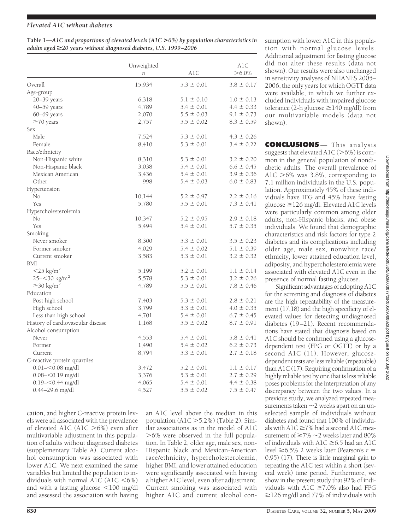# *Elevated A1C without diabetes*

| Table 1—A1C and proportions of elevated levels (A1C > 6%) by population characteristics in |
|--------------------------------------------------------------------------------------------|
| adults aged $\geq$ 20 years without diagnosed diabetes, U.S. 1999–2006                     |

|                                   | Unweighted<br>$\boldsymbol{n}$ | AlC            | A1C<br>$>6.0\%$ |
|-----------------------------------|--------------------------------|----------------|-----------------|
| Overall                           | 15,934                         | $5.3 \pm 0.01$ | $3.8 \pm 0.17$  |
| Age-group                         |                                |                |                 |
| $20 - 39$ years                   | 6,318                          | $5.1 \pm 0.10$ | $1.0 \pm 0.13$  |
| 40–59 years                       | 4,789                          | $5.4 \pm 0.01$ | $4.4 \pm 0.33$  |
| 60-69 years                       | 2,070                          | $5.5 \pm 0.03$ | $9.1 \pm 0.73$  |
| $\geq$ 70 years                   | 2,757                          | $5.5 \pm 0.02$ | $8.3 \pm 0.59$  |
| Sex                               |                                |                |                 |
| Male                              | 7,524                          | $5.3 \pm 0.01$ | $4.3 \pm 0.26$  |
| Female                            | 8,410                          | $5.3 \pm 0.01$ | $3.4 \pm 0.22$  |
| Race/ethnicity                    |                                |                |                 |
| Non-Hispanic white                | 8,310                          | $5.3 \pm 0.01$ | $3.2 \pm 0.20$  |
| Non-Hispanic black                | 3,038                          | $5.4 \pm 0.01$ | $6.6 \pm 0.45$  |
| Mexican American                  | 3,436                          | $5.4 \pm 0.01$ | $3.9 \pm 0.36$  |
| Other                             | 998                            | $5.4 \pm 0.03$ | $6.0 \pm 0.83$  |
| Hypertension                      |                                |                |                 |
| No                                | 10,144                         | $5.2 \pm 0.97$ | $2.2 \pm 0.16$  |
| Yes                               | 5,780                          | $5.5 \pm 0.01$ | $7.3 \pm 0.41$  |
| Hypercholesterolemia              |                                |                |                 |
| No                                | 10,347                         | $5.2 \pm 0.95$ | $2.9 \pm 0.18$  |
| Yes                               | 5,494                          | $5.4 \pm 0.01$ | $5.7 \pm 0.35$  |
| Smoking                           |                                |                |                 |
| Never smoker                      | 8,300                          | $5.3 \pm 0.01$ | $3.5 \pm 0.23$  |
| Former smoker                     | 4,029                          | $5.4 \pm 0.02$ | $5.1 \pm 0.39$  |
| Current smoker                    | 3,583                          | $5.3 \pm 0.01$ | $3.2 \pm 0.32$  |
| BMI                               |                                |                |                 |
| $<$ 25 kg/m <sup>2</sup>          | 5,199                          | $5.2 \pm 0.01$ | $1.1 \pm 0.14$  |
| $25 - 30$ kg/m <sup>2</sup>       | 5,578                          | $5.3 \pm 0.01$ | $3.2 \pm 0.26$  |
| $\geq$ 30 kg/m <sup>2</sup>       | 4,789                          | $5.5 \pm 0.01$ | $7.8 \pm 0.46$  |
| Education                         |                                |                |                 |
| Post high school                  | 7,403                          | $5.3 \pm 0.01$ | $2.8 \pm 0.21$  |
| High school                       | 3,799                          | $5.3 \pm 0.01$ | $4.0 \pm 0.35$  |
| Less than high school             | 4,701                          | $5.4 \pm 0.01$ | $6.7 \pm 0.45$  |
| History of cardiovascular disease | 1,168                          | $5.5 \pm 0.02$ | $8.7 \pm 0.91$  |
| Alcohol consumption               |                                |                |                 |
| Never                             | 4,553                          | $5.4 \pm 0.01$ | $5.8 \pm 0.41$  |
| Former                            | 1,490                          | $5.4 \pm 0.02$ | $6.2 \pm 0.73$  |
| Current                           | 8,794                          | $5.3 \pm 0.01$ | $2.7 \pm 0.18$  |
| C-reactive protein quartiles      |                                |                |                 |
| $0.01 - 0.08$ mg/dl               | 3,472                          | $5.2 \pm 0.01$ | $1.1 \pm 0.17$  |
| $0.08 - 0.19$ mg/dl               | 3,376                          | $5.3 \pm 0.01$ | $2.7 \pm 0.29$  |
| $0.19 - 0.44$ mg/dl               | 4,065                          | $5.4 \pm 0.01$ | $4.4 \pm 0.38$  |
| 0.44–29.6 mg/dl                   | 4,527                          | $5.5 \pm 0.02$ | $7.5 \pm 0.47$  |

cation, and higher C-reactive protein levels were all associated with the prevalence of elevated A1C (A1C  $>6\%$ ) even after multivariable adjustment in this population of adults without diagnosed diabetes (supplementary Table A). Current alcohol consumption was associated with lower A1C. We next examined the same variables but limited the population to individuals with normal A1C  $(A1C \le 6\%)$ and with a fasting glucose <100 mg/dl and assessed the association with having an A1C level above the median in this population  $(A1C > 5.2\%)$  (Table 2). Similar associations as in the model of A1C  $>6\%$  were observed in the full population. In Table 2, older age, male sex, non-Hispanic black and Mexican-American race/ethnicity, hypercholesterolemia, higher BMI, and lower attained education were significantly associated with having a higher A1C level, even after adjustment. Current smoking was associated with higher A1C and current alcohol consumption with lower A1C in this population with normal glucose levels. Additional adjustment for fasting glucose did not alter these results (data not shown). Our results were also unchanged in sensitivity analyses of NHANES 2005– 2006, the only years for which OGTT data were available, in which we further excluded individuals with impaired glucose tolerance (2-h glucose  $\geq$  140 mg/dl) from our multivariable models (data not shown).

**CONCLUSIONS** — This analysis suggests that elevated  $A1C (> 6\%)$  is common in the general population of nondiabetic adults. The overall prevalence of A1C  $>6\%$  was 3.8%, corresponding to 7.1 million individuals in the U.S. population. Approximately 45% of these individuals have IFG and 45% have fasting glucose  $\geq$ 126 mg/dl. Elevated A1C levels were particularly common among older adults, non-Hispanic blacks, and obese individuals. We found that demographic characteristics and risk factors for type 2 diabetes and its complications including older age, male sex, nonwhite race/ ethnicity, lower attained education level, adiposity, and hypercholesterolemia were associated with elevated A1C even in the presence of normal fasting glucose.

Significant advantages of adopting A1C for the screening and diagnosis of diabetes are the high repeatability of the measurement (17,18) and the high specificity of elevated values for detecting undiagnosed diabetes (19–21). Recent recommendations have stated that diagnosis based on A1C should be confirmed using a glucosedependent test (FPG or OGTT) or by a second A1C (11). However, glucosedependent tests are less reliable (repeatable) than A1C (17). Requiring confirmation of a highly reliable test by one that is less reliable poses problems for the interpretation of any discrepancy between the two values. In a previous study, we analyzed repeated measurements taken  $\sim$  2 weeks apart on an unselected sample of individuals without diabetes and found that 100% of individuals with  $A1C \ge 7\%$  had a second  $A1C$  measurement of  $\geq 7\%$   $\sim$  2 weeks later and 80% of individuals with  $A1C \geq 6.5$  had an A1C level  $\geq 6.5\%$  2 weeks later (Pearson's  $r =$ 0.95) (17). There is little marginal gain to repeating the A1C test within a short (several week) time period. Furthermore, we show in the present study that 92% of individuals with  $A1C \ge 7.0\%$  also had FPG  $\geq$ 126 mg/dl and 77% of individuals with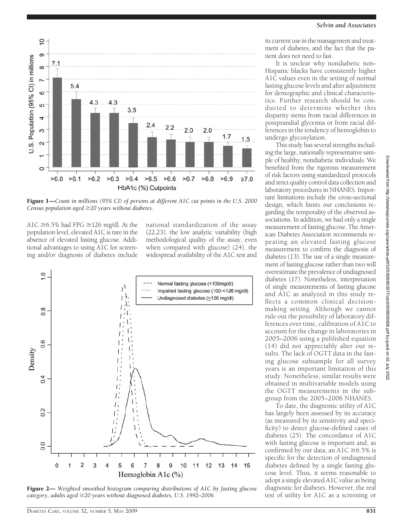

Figure 1—*Count in millions (95% CI) of persons at different A1C cut points in the U.S. 2000 Census population aged 20 years without diabetes.*

A1C  $\geq$  6.5% had FPG  $\geq$  126 mg/dl. At the population level, elevated A1C is rare in the absence of elevated fasting glucose. Additional advantages to using A1C for screening and/or diagnosis of diabetes include national standardization of the assay (22,23), the low analytic variability (high methodological quality of the assay, even when compared with glucose) (24), the widespread availability of the A1C test and



Figure 2— *Weighted smoothed histogram comparing distributions of A1C by fasting glucose category, adults aged 20 years without diagnosed diabetes, U.S. 1992–2006.*

its current use in the management and treatment of diabetes, and the fact that the patient does not need to fast.

It is unclear why nondiabetic non-Hispanic blacks have consistently higher A1C values even in the setting of normal fasting glucose levels and after adjustment for demographic and clinical characteristics. Further research should be conducted to determine whether this disparity stems from racial differences in postprandial glycemia or from racial differences in the tendency of hemoglobin to undergo glycosylation.

This study has several strengths including the large, nationally representative sample of healthy, nondiabetic individuals. We benefited from the rigorous measurement of risk factors using standardized protocols and strict quality control data collection and laboratory procedures in NHANES. Important limitations include the cross-sectional design, which limits our conclusions regarding the temporality of the observed associations. In addition, we had only a single measurement of fasting glucose. The American Diabetes Association recommends repeating an elevated fasting glucose measurement to confirm the diagnosis of diabetes (13). The use of a single measurement of fasting glucose rather than two will overestimate the prevalence of undiagnosed diabetes (17). Nonetheless, interpretation of single measurements of fasting glucose and A1C as analyzed in this study reflects a common clinical decisionmaking setting. Although we cannot rule out the possibility of laboratory differences over time, calibration of A1C to account for the change in laboratories in 2005–2006 using a published equation (14) did not appreciably alter our results. The lack of OGTT data in the fasting glucose subsample for all survey years is an important limitation of this study. Nonetheless, similar results were obtained in multivariable models using the OGTT measurements in the subgroup from the 2005–2006 NHANES.

To date, the diagnostic utility of A1C has largely been assessed by its accuracy (as measured by its sensitivity and specificity) to detect glucose-defined cases of diabetes (25). The concordance of A1C with fasting glucose is important and, as confirmed by our data, an A1C  $\geq$  6.5% is specific for the detection of undiagnosed diabetes defined by a single fasting glucose level. Thus, it seems reasonable to adopt a single elevated A1C value as being diagnostic for diabetes. However, the real test of utility for A1C as a screening or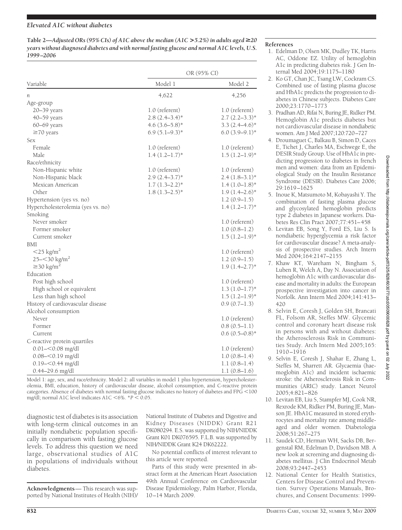# *Elevated A1C without diabetes*

Table 2—*Adjusted ORs (95% CIs) of A1C above the median (A1C > 5.2%) in adults aged*  $\geq$ 20 *years without diagnosed diabetes and with normal fasting glucose and normal A1C levels, U.S. 1999 –2006*

|                                   | OR (95% CI)      |                   |  |  |
|-----------------------------------|------------------|-------------------|--|--|
| Variable                          | Model 1          | Model 2           |  |  |
| n                                 | 4,622            | 4,256             |  |  |
| Age-group                         |                  |                   |  |  |
| 20-39 years                       | 1.0 (referent)   | 1.0 (referent)    |  |  |
| $40 - 59$ years                   | $2.8(2.4-3.4)$ * | $2.7(2.2-3.3)*$   |  |  |
| 60-69 years                       | $4.6(3.6-5.8)$ * | $3.3(2.4-4.6)$ *  |  |  |
| $\geq$ 70 years                   | $6.9(5.1-9.3)*$  | $6.0(3.9-9.1)$ *  |  |  |
| Sex                               |                  |                   |  |  |
| Female                            | $1.0$ (referent) | 1.0 (referent)    |  |  |
| Male                              | $1.4(1.2–1.7)*$  | $1.5(1.2-1.9)$ *  |  |  |
| Race/ethnicity                    |                  |                   |  |  |
| Non-Hispanic white                | 1.0 (referent)   | 1.0 (referent)    |  |  |
| Non-Hispanic black                | $2.9(2.4-3.7)$ * | $2.4(1.8-3.1)*$   |  |  |
| Mexican American                  | $1.7(1.3-2.2)*$  | $1.4(1.0-1.8)$ *  |  |  |
| Other                             | $1.8(1.3-2.5)^*$ | $1.9(1.4-2.6)$ *  |  |  |
| Hypertension (yes vs. no)         |                  | $1.2(0.9-1.5)$    |  |  |
| Hypercholesterolemia (yes vs. no) |                  | $1.4(1.2–1.7)*$   |  |  |
| Smoking                           |                  |                   |  |  |
| Never smoker                      |                  | 1.0 (referent)    |  |  |
| Former smoker                     |                  | $1.0(0.8-1.2)$    |  |  |
| Current smoker                    |                  | $1.5(1.2–1.9)$ *  |  |  |
| BMI                               |                  |                   |  |  |
| $<$ 25 kg/m <sup>2</sup>          |                  | 1.0 (referent)    |  |  |
| $25 - 30$ kg/m <sup>2</sup>       |                  | $1.2(0.9-1.5)$    |  |  |
| $\geq$ 30 kg/m <sup>2</sup>       |                  | $1.9(1.4 - 2.7)*$ |  |  |
| Education                         |                  |                   |  |  |
| Post high school                  |                  | 1.0 (referent)    |  |  |
| High school or equivalent         |                  | $1.3(1.0-1.7)$ *  |  |  |
| Less than high school             |                  | $1.5(1.2–1.9)$ *  |  |  |
| History of cardiovascular disease |                  | $0.9(0.7-1.3)$    |  |  |
| Alcohol consumption               |                  |                   |  |  |
| Never                             |                  | 1.0 (referent)    |  |  |
| Former                            |                  | $0.8(0.5-1.1)$    |  |  |
| Current                           |                  | $0.6(0.5-0.8)$ *  |  |  |
| C-reactive protein quartiles      |                  |                   |  |  |
| $0.01 - 0.08$ mg/dl               |                  | 1.0 (referent)    |  |  |
| $0.08 - 0.19$ mg/dl               |                  | 1.0(0.8–1.4)      |  |  |
| $0.19 - 0.44$ mg/dl               |                  | $1.1(0.8-1.4)$    |  |  |
| 0.44–29.6 mg/dl                   |                  | $1.1(0.8-1.6)$    |  |  |
|                                   |                  |                   |  |  |

Model 1: age, sex, and race/ethnicity. Model 2: all variables in model 1 plus hypertension, hypercholesterolemia, BMI, education, history of cardiovascular disease, alcohol consumption, and C-reactive protein categories. Absence of diabetes with normal fasting glucose indicates no history of diabetes and FPG -100 mg/dl; normal A1C level indicates A1C <6%.  $*P$  < 0.05.

diagnostic test of diabetes is its association with long-term clinical outcomes in an initially nondiabetic population specifically in comparison with fasting glucose levels. To address this question we need large, observational studies of A1C in populations of individuals without diabetes.

**Acknowledgments**— This research was supported by National Institutes of Health (NIH)/ National Institute of Diabetes and Digestive and Kidney Diseases (NIDDK) Grant R21 DK080294. E.S. was supported by NIH/NIDDK Grant K01 DK076595. F.L.B. was supported by NIH/NIDDK Grant K24 DK62222.

No potential conflicts of interest relevant to this article were reported.

Parts of this study were presented in abstract form at the American Heart Association 49th Annual Conference on Cardiovascular Disease Epidemiology, Palm Harbor, Florida, 10–14 March 2009.

### **References**

- 1. Edelman D, Olsen MK, Dudley TK, Harris AC, Oddone EZ. Utility of hemoglobin A1c in predicting diabetes risk. J Gen Internal Med 2004;19:1175–1180
- 2. Ko GT, Chan JC, Tsang LW, Cockram CS. Combined use of fasting plasma glucose and HbA1c predicts the progression to diabetes in Chinese subjects. Diabetes Care 2000;23:1770–1773
- 3. Pradhan AD, Rifai N, Buring JE, Ridker PM. Hemoglobin A1c predicts diabetes but not cardiovascular disease in nondiabetic women. Am J Med 2007;120:720–727
- 4. Droumaguet C, Balkau B, Simon D, Caces E, Tichet J, Charles MA, Eschwege E, the DESIR Study Group. Use of HbA1c in predicting progression to diabetes in french men and women: data from an Epidemiological Study on the Insulin Resistance Syndrome (DESIR). Diabetes Care 2006; 29:1619–1625
- 5. Inoue K, Matsumoto M, Kobayashi Y. The combination of fasting plasma glucose and glycosylated hemoglobin predicts type 2 diabetes in Japanese workers. Diabetes Res Clin Pract 2007;77:451–458
- 6. Levitan EB, Song Y, Ford ES, Liu S. Is nondiabetic hyperglycemia a risk factor for cardiovascular disease? A meta-analysis of prospective studies. Arch Intern Med 2004;164:2147–2155
- 7. Khaw KT, Wareham N, Bingham S, Luben R, Welch A, Day N. Association of hemoglobin A1c with cardiovascular disease and mortality in adults: the European prospective investigation into cancer in Norfolk. Ann Intern Med 2004;141:413– 420
- 8. Selvin E, Coresh J, Golden SH, Brancati FL, Folsom AR, Steffes MW. Glycemic control and coronary heart disease risk in persons with and without diabetes: the Atherosclerosis Risk in Communities Study. Arch Intern Med 2005;165: 1910–1916
- 9. Selvin E, Coresh J, Shahar E, Zhang L, Steffes M, Sharrett AR. Glycaemia (haemoglobin A1c) and incident ischaemic stroke: the Atherosclerosis Risk in Communities (ARIC) study. Lancet Neurol 2005;4:821–826
- 10. Levitan EB, Liu S, Stampfer MJ, Cook NR, Rexrode KM, Ridker PM, Buring JE, Manson JE. HbA1C measured in stored erythrocytes and mortality rate among middleaged and older women. Diabetologia 2008;51:267–275
- 11. Saudek CD, Herman WH, Sacks DB, Bergenstal RM, Edelman D, Davidson MB. A new look at screening and diagnosing diabetes mellitus. J Clin Endocrinol Metab 2008;93:2447–2453
- 12. National Center for Health Statistics, Centers for Disease Control and Prevention. Survey Operations Manuals, Brochures, and Consent Documents: 1999-